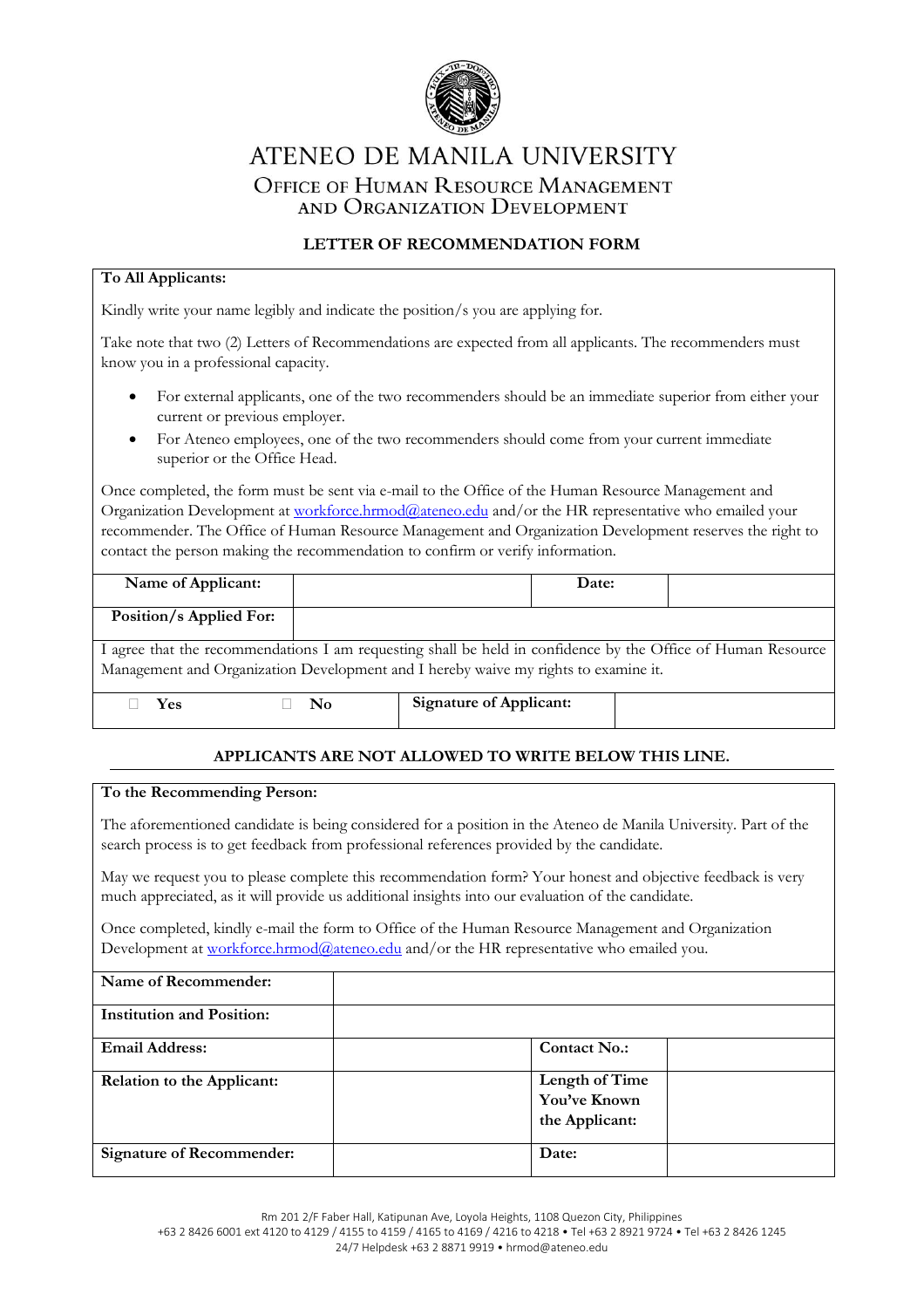

# ATENEO DE MANILA UNIVERSITY **OFFICE OF HUMAN RESOURCE MANAGEMENT** AND ORGANIZATION DEVELOPMENT

# **LETTER OF RECOMMENDATION FORM**

### **To All Applicants:**

Kindly write your name legibly and indicate the position/s you are applying for.

Take note that two (2) Letters of Recommendations are expected from all applicants. The recommenders must know you in a professional capacity.

- For external applicants, one of the two recommenders should be an immediate superior from either your current or previous employer.
- For Ateneo employees, one of the two recommenders should come from your current immediate superior or the Office Head.

Once completed, the form must be sent via e-mail to the Office of the Human Resource Management and Organization Development at [workforce.hrmod@ateneo.edu](mailto:workforce.hrmod@ateneo.edu) and/or the HR representative who emailed your recommender. The Office of Human Resource Management and Organization Development reserves the right to contact the person making the recommendation to confirm or verify information.

| Name of Applicant:      | <b>Date:</b> |  |
|-------------------------|--------------|--|
| Position/s Applied For: |              |  |

I agree that the recommendations I am requesting shall be held in confidence by the Office of Human Resource Management and Organization Development and I hereby waive my rights to examine it.

**Yes No Signature of Applicant:**

## **APPLICANTS ARE NOT ALLOWED TO WRITE BELOW THIS LINE.**

#### **To the Recommending Person:**

The aforementioned candidate is being considered for a position in the Ateneo de Manila University. Part of the search process is to get feedback from professional references provided by the candidate.

May we request you to please complete this recommendation form? Your honest and objective feedback is very much appreciated, as it will provide us additional insights into our evaluation of the candidate.

Once completed, kindly e-mail the form to Office of the Human Resource Management and Organization Development at  $\underline{workforce.hrmod@ \text{atence.edu}}$  and/or the HR representative who emailed you.

| Name of Recommender:              |                                                  |  |
|-----------------------------------|--------------------------------------------------|--|
| <b>Institution and Position:</b>  |                                                  |  |
| <b>Email Address:</b>             | <b>Contact No.:</b>                              |  |
| <b>Relation to the Applicant:</b> | Length of Time<br>You've Known<br>the Applicant: |  |
| <b>Signature of Recommender:</b>  | Date:                                            |  |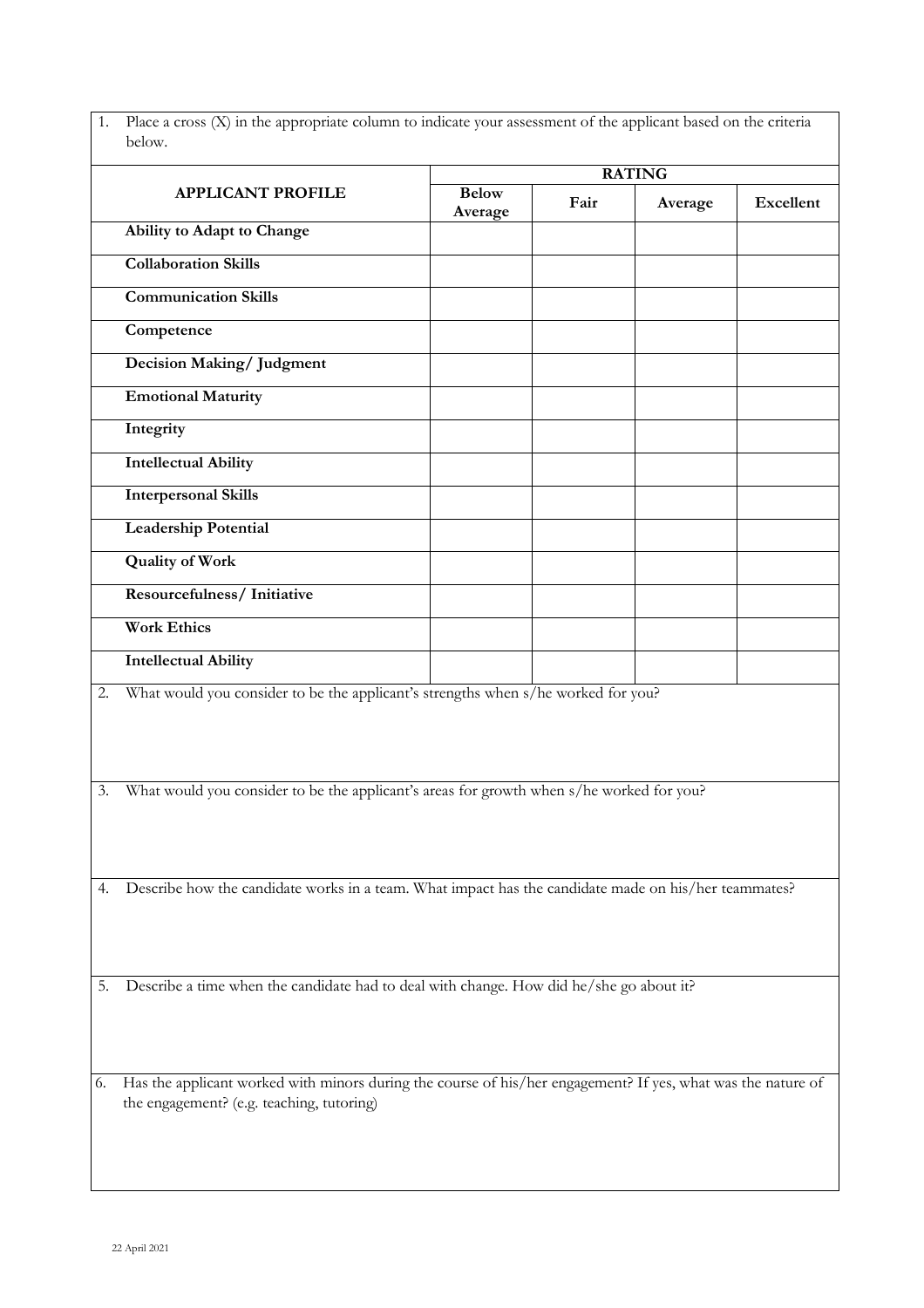| 1. | Place a cross (X) in the appropriate column to indicate your assessment of the applicant based on the criteria<br>below.                                  |                         |      |         |           |  |  |
|----|-----------------------------------------------------------------------------------------------------------------------------------------------------------|-------------------------|------|---------|-----------|--|--|
|    |                                                                                                                                                           | <b>RATING</b>           |      |         |           |  |  |
|    | <b>APPLICANT PROFILE</b>                                                                                                                                  | <b>Below</b><br>Average | Fair | Average | Excellent |  |  |
|    | Ability to Adapt to Change                                                                                                                                |                         |      |         |           |  |  |
|    | <b>Collaboration Skills</b>                                                                                                                               |                         |      |         |           |  |  |
|    | <b>Communication Skills</b>                                                                                                                               |                         |      |         |           |  |  |
|    | Competence                                                                                                                                                |                         |      |         |           |  |  |
|    | Decision Making/ Judgment                                                                                                                                 |                         |      |         |           |  |  |
|    | <b>Emotional Maturity</b>                                                                                                                                 |                         |      |         |           |  |  |
|    | Integrity                                                                                                                                                 |                         |      |         |           |  |  |
|    | <b>Intellectual Ability</b>                                                                                                                               |                         |      |         |           |  |  |
|    | <b>Interpersonal Skills</b>                                                                                                                               |                         |      |         |           |  |  |
|    | <b>Leadership Potential</b>                                                                                                                               |                         |      |         |           |  |  |
|    | <b>Quality of Work</b>                                                                                                                                    |                         |      |         |           |  |  |
|    | Resourcefulness/Initiative                                                                                                                                |                         |      |         |           |  |  |
|    | <b>Work Ethics</b>                                                                                                                                        |                         |      |         |           |  |  |
|    | <b>Intellectual Ability</b>                                                                                                                               |                         |      |         |           |  |  |
| 2. | What would you consider to be the applicant's strengths when s/he worked for you?                                                                         |                         |      |         |           |  |  |
| 3. | What would you consider to be the applicant's areas for growth when s/he worked for you?                                                                  |                         |      |         |           |  |  |
| 4. | Describe how the candidate works in a team. What impact has the candidate made on his/her teammates?                                                      |                         |      |         |           |  |  |
| 5. | Describe a time when the candidate had to deal with change. How did he/she go about it?                                                                   |                         |      |         |           |  |  |
| 6. | Has the applicant worked with minors during the course of his/her engagement? If yes, what was the nature of<br>the engagement? (e.g. teaching, tutoring) |                         |      |         |           |  |  |